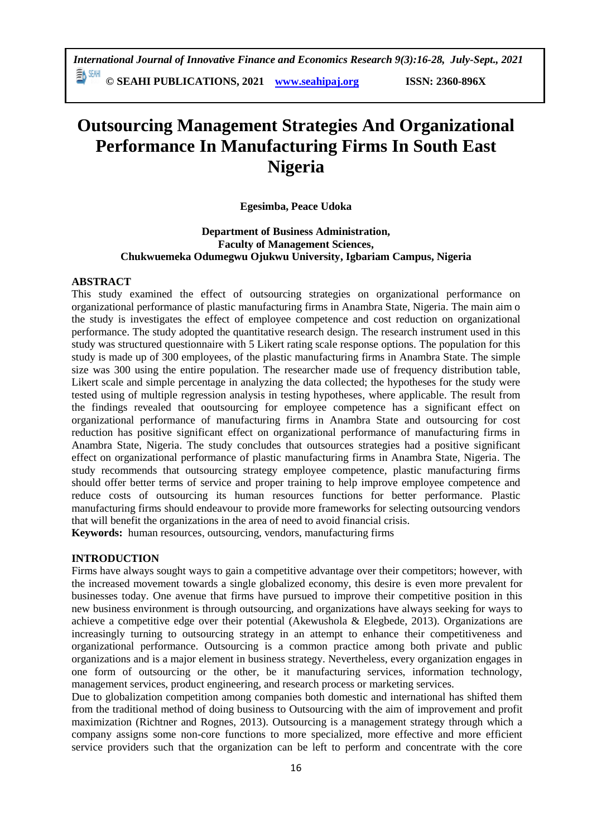*International Journal of Innovative Finance and Economics Research 9(3):16-28, July-Sept., 2021* 1) SEM **© SEAHI PUBLICATIONS, 2021 [www.seahipaj.org](http://www.seahipaj.org/) ISSN: 2360-896X**

# **Outsourcing Management Strategies And Organizational Performance In Manufacturing Firms In South East Nigeria**

## **Egesimba, Peace Udoka**

**Department of Business Administration, Faculty of Management Sciences, Chukwuemeka Odumegwu Ojukwu University, Igbariam Campus, Nigeria**

#### **ABSTRACT**

This study examined the effect of outsourcing strategies on organizational performance on organizational performance of plastic manufacturing firms in Anambra State, Nigeria. The main aim o the study is investigates the effect of employee competence and cost reduction on organizational performance. The study adopted the quantitative research design. The research instrument used in this study was structured questionnaire with 5 Likert rating scale response options. The population for this study is made up of 300 employees, of the plastic manufacturing firms in Anambra State. The simple size was 300 using the entire population. The researcher made use of frequency distribution table, Likert scale and simple percentage in analyzing the data collected; the hypotheses for the study were tested using of multiple regression analysis in testing hypotheses, where applicable. The result from the findings revealed that ooutsourcing for employee competence has a significant effect on organizational performance of manufacturing firms in Anambra State and outsourcing for cost reduction has positive significant effect on organizational performance of manufacturing firms in Anambra State, Nigeria. The study concludes that outsources strategies had a positive significant effect on organizational performance of plastic manufacturing firms in Anambra State, Nigeria. The study recommends that outsourcing strategy employee competence, plastic manufacturing firms should offer better terms of service and proper training to help improve employee competence and reduce costs of outsourcing its human resources functions for better performance. Plastic manufacturing firms should endeavour to provide more frameworks for selecting outsourcing vendors that will benefit the organizations in the area of need to avoid financial crisis.

**Keywords:** human resources, outsourcing, vendors, manufacturing firms

## **INTRODUCTION**

Firms have always sought ways to gain a competitive advantage over their competitors; however, with the increased movement towards a single globalized economy, this desire is even more prevalent for businesses today. One avenue that firms have pursued to improve their competitive position in this new business environment is through outsourcing, and organizations have always seeking for ways to achieve a competitive edge over their potential (Akewushola & Elegbede, 2013). Organizations are increasingly turning to outsourcing strategy in an attempt to enhance their competitiveness and organizational performance. Outsourcing is a common practice among both private and public organizations and is a major element in business strategy. Nevertheless, every organization engages in one form of outsourcing or the other, be it manufacturing services, information technology, management services, product engineering, and research process or marketing services.

Due to globalization competition among companies both domestic and international has shifted them from the traditional method of doing business to Outsourcing with the aim of improvement and profit maximization (Richtner and Rognes, 2013). Outsourcing is a management strategy through which a company assigns some non-core functions to more specialized, more effective and more efficient service providers such that the organization can be left to perform and concentrate with the core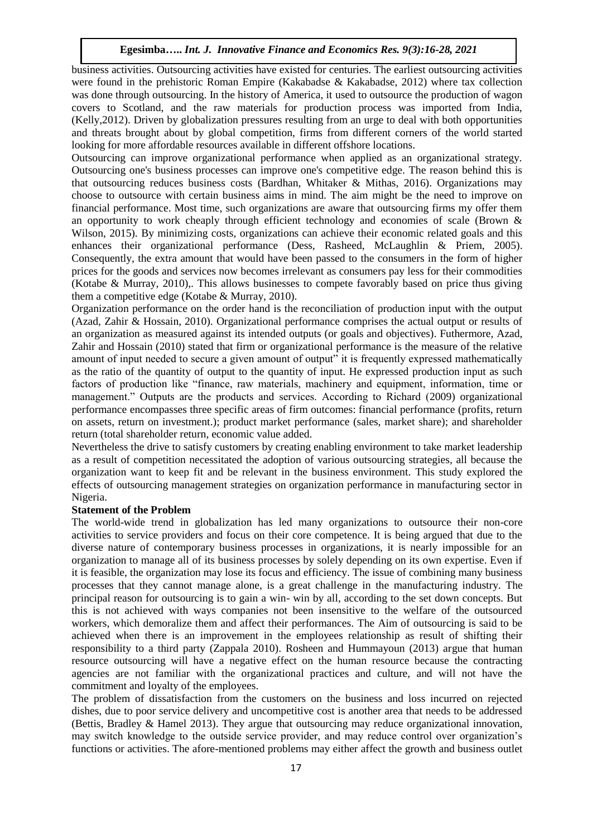business activities. Outsourcing activities have existed for centuries. The earliest outsourcing activities were found in the prehistoric Roman Empire (Kakabadse & Kakabadse, 2012) where tax collection was done through outsourcing. In the history of America, it used to outsource the production of wagon covers to Scotland, and the raw materials for production process was imported from India, (Kelly,2012). Driven by globalization pressures resulting from an urge to deal with both opportunities and threats brought about by global competition, firms from different corners of the world started looking for more affordable resources available in different offshore locations.

Outsourcing can improve organizational performance when applied as an organizational strategy. Outsourcing one's business processes can improve one's competitive edge. The reason behind this is that outsourcing reduces business costs (Bardhan, Whitaker & Mithas, 2016). Organizations may choose to outsource with certain business aims in mind. The aim might be the need to improve on financial performance. Most time, such organizations are aware that outsourcing firms my offer them an opportunity to work cheaply through efficient technology and economies of scale (Brown & Wilson, 2015). By minimizing costs, organizations can achieve their economic related goals and this enhances their organizational performance (Dess, Rasheed, McLaughlin & Priem, 2005). Consequently, the extra amount that would have been passed to the consumers in the form of higher prices for the goods and services now becomes irrelevant as consumers pay less for their commodities (Kotabe & Murray, 2010),. This allows businesses to compete favorably based on price thus giving them a competitive edge (Kotabe & Murray, 2010).

Organization performance on the order hand is the reconciliation of production input with the output (Azad, Zahir & Hossain, 2010). Organizational performance comprises the actual output or results of an organization as measured against its intended outputs (or goals and objectives). Futhermore, Azad, Zahir and Hossain (2010) stated that firm or organizational performance is the measure of the relative amount of input needed to secure a given amount of output" it is frequently expressed mathematically as the ratio of the quantity of output to the quantity of input. He expressed production input as such factors of production like "finance, raw materials, machinery and equipment, information, time or management." Outputs are the products and services. According to Richard (2009) organizational performance encompasses three specific areas of firm outcomes: financial performance (profits, return on assets, return on investment.); product market performance (sales, market share); and shareholder return (total shareholder return, economic value added.

Nevertheless the drive to satisfy customers by creating enabling environment to take market leadership as a result of competition necessitated the adoption of various outsourcing strategies, all because the organization want to keep fit and be relevant in the business environment. This study explored the effects of outsourcing management strategies on organization performance in manufacturing sector in Nigeria.

#### **Statement of the Problem**

The world-wide trend in globalization has led many organizations to outsource their non-core activities to service providers and focus on their core competence. It is being argued that due to the diverse nature of contemporary business processes in organizations, it is nearly impossible for an organization to manage all of its business processes by solely depending on its own expertise. Even if it is feasible, the organization may lose its focus and efficiency. The issue of combining many business processes that they cannot manage alone, is a great challenge in the manufacturing industry. The principal reason for outsourcing is to gain a win- win by all, according to the set down concepts. But this is not achieved with ways companies not been insensitive to the welfare of the outsourced workers, which demoralize them and affect their performances. The Aim of outsourcing is said to be achieved when there is an improvement in the employees relationship as result of shifting their responsibility to a third party (Zappala 2010). Rosheen and Hummayoun (2013) argue that human resource outsourcing will have a negative effect on the human resource because the contracting agencies are not familiar with the organizational practices and culture, and will not have the commitment and loyalty of the employees.

The problem of dissatisfaction from the customers on the business and loss incurred on rejected dishes, due to poor service delivery and uncompetitive cost is another area that needs to be addressed (Bettis, Bradley & Hamel 2013). They argue that outsourcing may reduce organizational innovation, may switch knowledge to the outside service provider, and may reduce control over organization's functions or activities. The afore-mentioned problems may either affect the growth and business outlet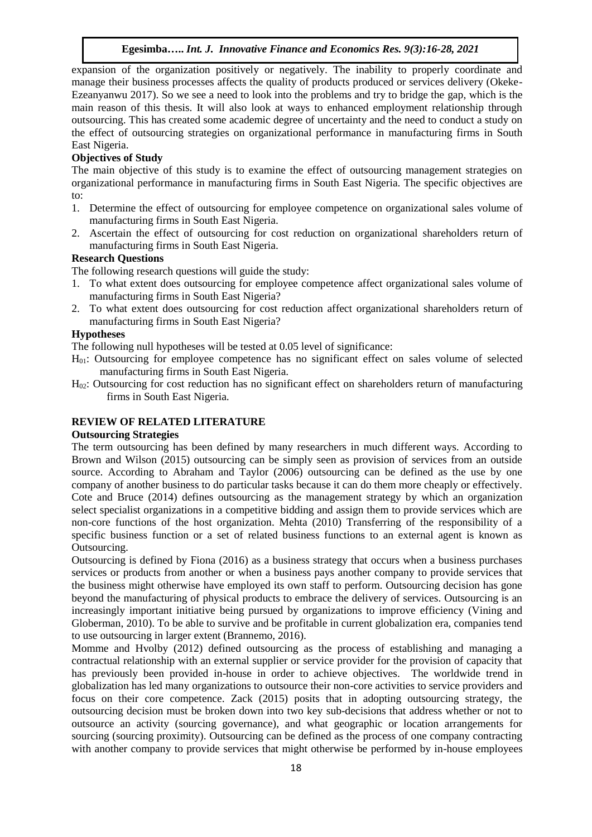expansion of the organization positively or negatively. The inability to properly coordinate and manage their business processes affects the quality of products produced or services delivery (Okeke-Ezeanyanwu 2017). So we see a need to look into the problems and try to bridge the gap, which is the main reason of this thesis. It will also look at ways to enhanced employment relationship through outsourcing. This has created some academic degree of uncertainty and the need to conduct a study on the effect of outsourcing strategies on organizational performance in manufacturing firms in South East Nigeria.

# **Objectives of Study**

The main objective of this study is to examine the effect of outsourcing management strategies on organizational performance in manufacturing firms in South East Nigeria. The specific objectives are to:

- 1. Determine the effect of outsourcing for employee competence on organizational sales volume of manufacturing firms in South East Nigeria.
- 2. Ascertain the effect of outsourcing for cost reduction on organizational shareholders return of manufacturing firms in South East Nigeria.

## **Research Questions**

The following research questions will guide the study:

- 1. To what extent does outsourcing for employee competence affect organizational sales volume of manufacturing firms in South East Nigeria?
- 2. To what extent does outsourcing for cost reduction affect organizational shareholders return of manufacturing firms in South East Nigeria?

## **Hypotheses**

The following null hypotheses will be tested at 0.05 level of significance:

- H01: Outsourcing for employee competence has no significant effect on sales volume of selected manufacturing firms in South East Nigeria.
- H<sub>02</sub>: Outsourcing for cost reduction has no significant effect on shareholders return of manufacturing firms in South East Nigeria.

# **REVIEW OF RELATED LITERATURE**

#### **Outsourcing Strategies**

The term outsourcing has been defined by many researchers in much different ways. According to Brown and Wilson (2015) outsourcing can be simply seen as provision of services from an outside source. According to Abraham and Taylor (2006) outsourcing can be defined as the use by one company of another business to do particular tasks because it can do them more cheaply or effectively. Cote and Bruce (2014) defines outsourcing as the management strategy by which an organization select specialist organizations in a competitive bidding and assign them to provide services which are non-core functions of the host organization. Mehta (2010) Transferring of the responsibility of a specific business function or a set of related business functions to an external agent is known as Outsourcing.

Outsourcing is defined by Fiona (2016) as a business strategy that occurs when a business purchases services or products from another or when a business pays another company to provide services that the business might otherwise have employed its own staff to perform. Outsourcing decision has gone beyond the manufacturing of physical products to embrace the delivery of services. Outsourcing is an increasingly important initiative being pursued by organizations to improve efficiency (Vining and Globerman, 2010). To be able to survive and be profitable in current globalization era, companies tend to use outsourcing in larger extent (Brannemo, 2016).

Momme and Hvolby (2012) defined outsourcing as the process of establishing and managing a contractual relationship with an external supplier or service provider for the provision of capacity that has previously been provided in-house in order to achieve objectives. The worldwide trend in globalization has led many organizations to outsource their non-core activities to service providers and focus on their core competence. Zack (2015) posits that in adopting outsourcing strategy, the outsourcing decision must be broken down into two key sub-decisions that address whether or not to outsource an activity (sourcing governance), and what geographic or location arrangements for sourcing (sourcing proximity). Outsourcing can be defined as the process of one company contracting with another company to provide services that might otherwise be performed by in-house employees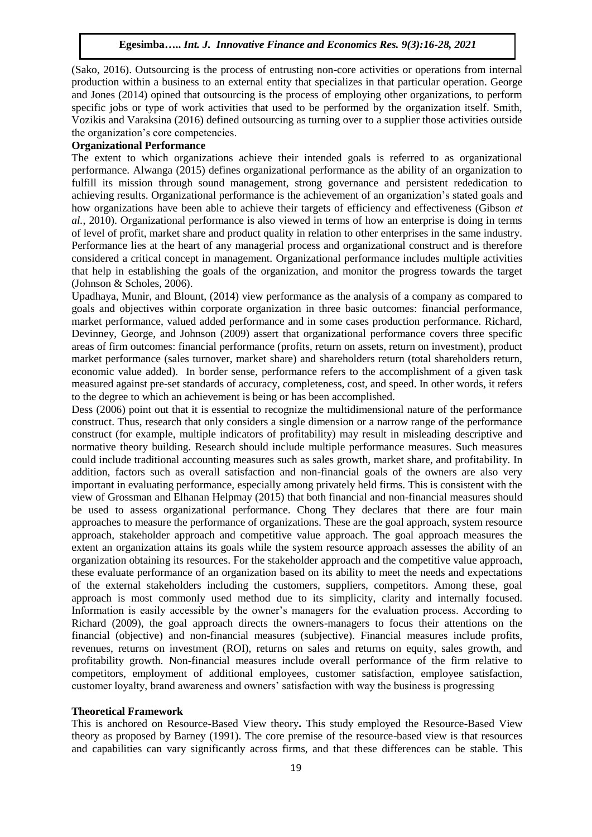(Sako, 2016). Outsourcing is the process of entrusting non-core activities or operations from internal production within a business to an external entity that specializes in that particular operation. George and Jones (2014) opined that outsourcing is the process of employing other organizations, to perform specific jobs or type of work activities that used to be performed by the organization itself. Smith, Vozikis and Varaksina (2016) defined outsourcing as turning over to a supplier those activities outside the organization's core competencies.

## **Organizational Performance**

The extent to which organizations achieve their intended goals is referred to as organizational performance. Alwanga (2015) defines organizational performance as the ability of an organization to fulfill its mission through sound management, strong governance and persistent rededication to achieving results. Organizational performance is the achievement of an organization's stated goals and how organizations have been able to achieve their targets of efficiency and effectiveness (Gibson *et al.*, 2010). Organizational performance is also viewed in terms of how an enterprise is doing in terms of level of profit, market share and product quality in relation to other enterprises in the same industry. Performance lies at the heart of any managerial process and organizational construct and is therefore considered a critical concept in management. Organizational performance includes multiple activities that help in establishing the goals of the organization, and monitor the progress towards the target (Johnson & Scholes, 2006).

Upadhaya, Munir, and Blount, (2014) view performance as the analysis of a company as compared to goals and objectives within corporate organization in three basic outcomes: financial performance, market performance, valued added performance and in some cases production performance. Richard, Devinney, George, and Johnson (2009) assert that organizational performance covers three specific areas of firm outcomes: financial performance (profits, return on assets, return on investment), product market performance (sales turnover, market share) and shareholders return (total shareholders return, economic value added). In border sense, performance refers to the accomplishment of a given task measured against pre-set standards of accuracy, completeness, cost, and speed. In other words, it refers to the degree to which an achievement is being or has been accomplished.

Dess (2006) point out that it is essential to recognize the multidimensional nature of the performance construct. Thus, research that only considers a single dimension or a narrow range of the performance construct (for example, multiple indicators of profitability) may result in misleading descriptive and normative theory building. Research should include multiple performance measures. Such measures could include traditional accounting measures such as sales growth, market share, and profitability. In addition, factors such as overall satisfaction and non-financial goals of the owners are also very important in evaluating performance, especially among privately held firms. This is consistent with the view of Grossman and Elhanan Helpmay (2015) that both financial and non-financial measures should be used to assess organizational performance. Chong They declares that there are four main approaches to measure the performance of organizations. These are the goal approach, system resource approach, stakeholder approach and competitive value approach. The goal approach measures the extent an organization attains its goals while the system resource approach assesses the ability of an organization obtaining its resources. For the stakeholder approach and the competitive value approach, these evaluate performance of an organization based on its ability to meet the needs and expectations of the external stakeholders including the customers, suppliers, competitors. Among these, goal approach is most commonly used method due to its simplicity, clarity and internally focused. Information is easily accessible by the owner's managers for the evaluation process. According to Richard (2009), the goal approach directs the owners-managers to focus their attentions on the financial (objective) and non-financial measures (subjective). Financial measures include profits, revenues, returns on investment (ROI), returns on sales and returns on equity, sales growth, and profitability growth. Non-financial measures include overall performance of the firm relative to competitors, employment of additional employees, customer satisfaction, employee satisfaction, customer loyalty, brand awareness and owners' satisfaction with way the business is progressing

#### **Theoretical Framework**

This is anchored on Resource-Based View theory**.** This study employed the Resource-Based View theory as proposed by Barney (1991). The core premise of the resource-based view is that resources and capabilities can vary significantly across firms, and that these differences can be stable. This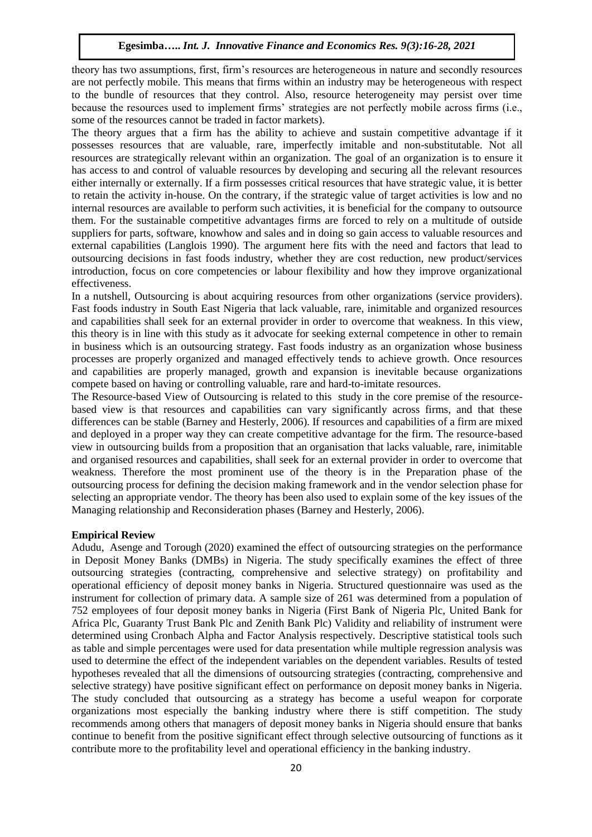theory has two assumptions, first, firm's resources are heterogeneous in nature and secondly resources are not perfectly mobile. This means that firms within an industry may be heterogeneous with respect to the bundle of resources that they control. Also, resource heterogeneity may persist over time because the resources used to implement firms' strategies are not perfectly mobile across firms (i.e., some of the resources cannot be traded in factor markets).

The theory argues that a firm has the ability to achieve and sustain competitive advantage if it possesses resources that are valuable, rare, imperfectly imitable and non-substitutable. Not all resources are strategically relevant within an organization. The goal of an organization is to ensure it has access to and control of valuable resources by developing and securing all the relevant resources either internally or externally. If a firm possesses critical resources that have strategic value, it is better to retain the activity in-house. On the contrary, if the strategic value of target activities is low and no internal resources are available to perform such activities, it is beneficial for the company to outsource them. For the sustainable competitive advantages firms are forced to rely on a multitude of outside suppliers for parts, software, knowhow and sales and in doing so gain access to valuable resources and external capabilities (Langlois 1990). The argument here fits with the need and factors that lead to outsourcing decisions in fast foods industry, whether they are cost reduction, new product/services introduction, focus on core competencies or labour flexibility and how they improve organizational effectiveness.

In a nutshell, Outsourcing is about acquiring resources from other organizations (service providers). Fast foods industry in South East Nigeria that lack valuable, rare, inimitable and organized resources and capabilities shall seek for an external provider in order to overcome that weakness. In this view, this theory is in line with this study as it advocate for seeking external competence in other to remain in business which is an outsourcing strategy. Fast foods industry as an organization whose business processes are properly organized and managed effectively tends to achieve growth. Once resources and capabilities are properly managed, growth and expansion is inevitable because organizations compete based on having or controlling valuable, rare and hard-to-imitate resources.

The Resource-based View of Outsourcing is related to this study in the core premise of the resourcebased view is that resources and capabilities can vary significantly across firms, and that these differences can be stable (Barney and Hesterly, 2006). If resources and capabilities of a firm are mixed and deployed in a proper way they can create competitive advantage for the firm. The resource-based view in outsourcing builds from a proposition that an organisation that lacks valuable, rare, inimitable and organised resources and capabilities, shall seek for an external provider in order to overcome that weakness. Therefore the most prominent use of the theory is in the Preparation phase of the outsourcing process for defining the decision making framework and in the vendor selection phase for selecting an appropriate vendor. The theory has been also used to explain some of the key issues of the Managing relationship and Reconsideration phases (Barney and Hesterly, 2006).

#### **Empirical Review**

Adudu, Asenge and Torough (2020) examined the effect of outsourcing strategies on the performance in Deposit Money Banks (DMBs) in Nigeria. The study specifically examines the effect of three outsourcing strategies (contracting, comprehensive and selective strategy) on profitability and operational efficiency of deposit money banks in Nigeria. Structured questionnaire was used as the instrument for collection of primary data. A sample size of 261 was determined from a population of 752 employees of four deposit money banks in Nigeria (First Bank of Nigeria Plc, United Bank for Africa Plc, Guaranty Trust Bank Plc and Zenith Bank Plc) Validity and reliability of instrument were determined using Cronbach Alpha and Factor Analysis respectively. Descriptive statistical tools such as table and simple percentages were used for data presentation while multiple regression analysis was used to determine the effect of the independent variables on the dependent variables. Results of tested hypotheses revealed that all the dimensions of outsourcing strategies (contracting, comprehensive and selective strategy) have positive significant effect on performance on deposit money banks in Nigeria. The study concluded that outsourcing as a strategy has become a useful weapon for corporate organizations most especially the banking industry where there is stiff competition. The study recommends among others that managers of deposit money banks in Nigeria should ensure that banks continue to benefit from the positive significant effect through selective outsourcing of functions as it contribute more to the profitability level and operational efficiency in the banking industry.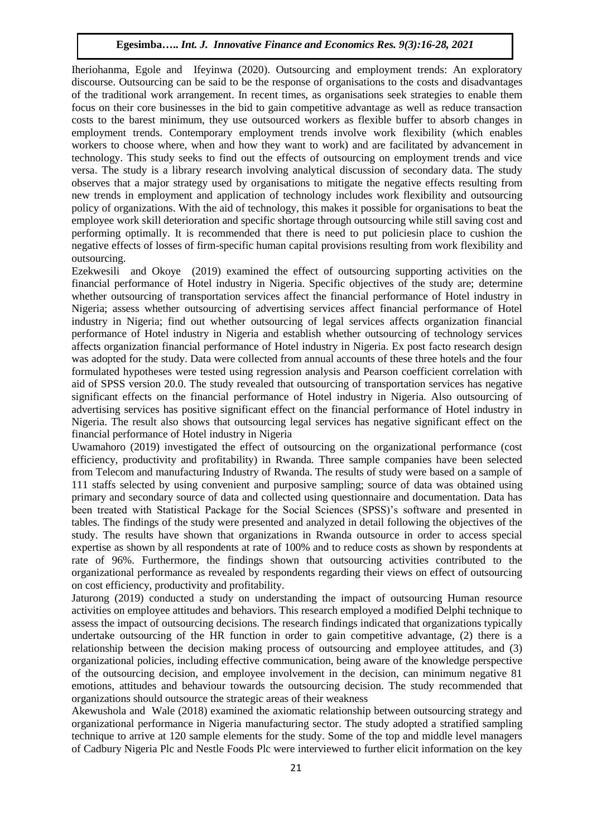Iheriohanma, Egole and Ifeyinwa (2020). Outsourcing and employment trends: An exploratory discourse. Outsourcing can be said to be the response of organisations to the costs and disadvantages of the traditional work arrangement. In recent times, as organisations seek strategies to enable them focus on their core businesses in the bid to gain competitive advantage as well as reduce transaction costs to the barest minimum, they use outsourced workers as flexible buffer to absorb changes in employment trends. Contemporary employment trends involve work flexibility (which enables workers to choose where, when and how they want to work) and are facilitated by advancement in technology. This study seeks to find out the effects of outsourcing on employment trends and vice versa. The study is a library research involving analytical discussion of secondary data. The study observes that a major strategy used by organisations to mitigate the negative effects resulting from new trends in employment and application of technology includes work flexibility and outsourcing policy of organizations. With the aid of technology, this makes it possible for organisations to beat the employee work skill deterioration and specific shortage through outsourcing while still saving cost and performing optimally. It is recommended that there is need to put policiesin place to cushion the negative effects of losses of firm-specific human capital provisions resulting from work flexibility and outsourcing.

Ezekwesili and Okoye (2019) examined the effect of outsourcing supporting activities on the financial performance of Hotel industry in Nigeria. Specific objectives of the study are; determine whether outsourcing of transportation services affect the financial performance of Hotel industry in Nigeria; assess whether outsourcing of advertising services affect financial performance of Hotel industry in Nigeria; find out whether outsourcing of legal services affects organization financial performance of Hotel industry in Nigeria and establish whether outsourcing of technology services affects organization financial performance of Hotel industry in Nigeria. Ex post facto research design was adopted for the study. Data were collected from annual accounts of these three hotels and the four formulated hypotheses were tested using regression analysis and Pearson coefficient correlation with aid of SPSS version 20.0. The study revealed that outsourcing of transportation services has negative significant effects on the financial performance of Hotel industry in Nigeria. Also outsourcing of advertising services has positive significant effect on the financial performance of Hotel industry in Nigeria. The result also shows that outsourcing legal services has negative significant effect on the financial performance of Hotel industry in Nigeria

Uwamahoro (2019) investigated the effect of outsourcing on the organizational performance (cost efficiency, productivity and profitability) in Rwanda. Three sample companies have been selected from Telecom and manufacturing Industry of Rwanda. The results of study were based on a sample of 111 staffs selected by using convenient and purposive sampling; source of data was obtained using primary and secondary source of data and collected using questionnaire and documentation. Data has been treated with Statistical Package for the Social Sciences (SPSS)'s software and presented in tables. The findings of the study were presented and analyzed in detail following the objectives of the study. The results have shown that organizations in Rwanda outsource in order to access special expertise as shown by all respondents at rate of 100% and to reduce costs as shown by respondents at rate of 96%. Furthermore, the findings shown that outsourcing activities contributed to the organizational performance as revealed by respondents regarding their views on effect of outsourcing on cost efficiency, productivity and profitability.

Jaturong (2019) conducted a study on understanding the impact of outsourcing Human resource activities on employee attitudes and behaviors. This research employed a modified Delphi technique to assess the impact of outsourcing decisions. The research findings indicated that organizations typically undertake outsourcing of the HR function in order to gain competitive advantage, (2) there is a relationship between the decision making process of outsourcing and employee attitudes, and (3) organizational policies, including effective communication, being aware of the knowledge perspective of the outsourcing decision, and employee involvement in the decision, can minimum negative 81 emotions, attitudes and behaviour towards the outsourcing decision. The study recommended that organizations should outsource the strategic areas of their weakness

Akewushola and Wale (2018) examined the axiomatic relationship between outsourcing strategy and organizational performance in Nigeria manufacturing sector. The study adopted a stratified sampling technique to arrive at 120 sample elements for the study. Some of the top and middle level managers of Cadbury Nigeria Plc and Nestle Foods Plc were interviewed to further elicit information on the key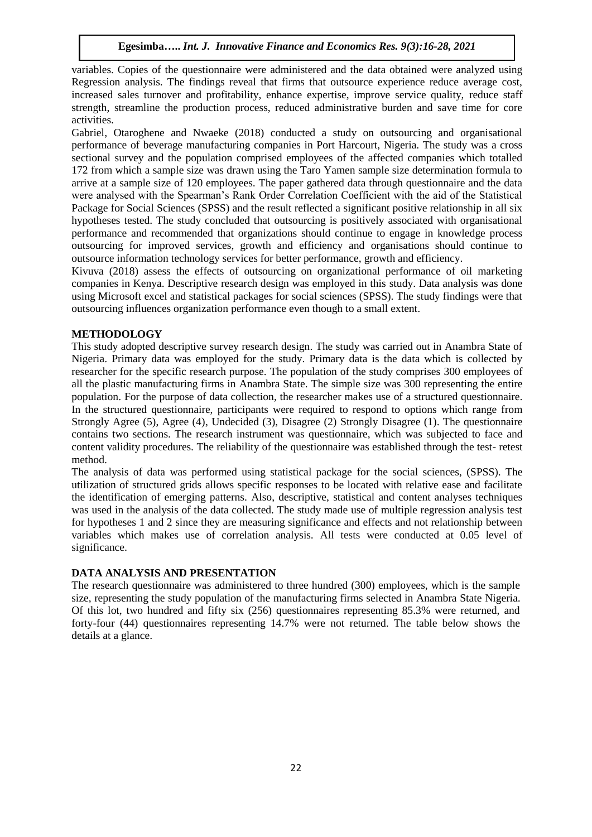variables. Copies of the questionnaire were administered and the data obtained were analyzed using Regression analysis. The findings reveal that firms that outsource experience reduce average cost, increased sales turnover and profitability, enhance expertise, improve service quality, reduce staff strength, streamline the production process, reduced administrative burden and save time for core activities.

Gabriel, Otaroghene and Nwaeke (2018) conducted a study on outsourcing and organisational performance of beverage manufacturing companies in Port Harcourt, Nigeria. The study was a cross sectional survey and the population comprised employees of the affected companies which totalled 172 from which a sample size was drawn using the Taro Yamen sample size determination formula to arrive at a sample size of 120 employees. The paper gathered data through questionnaire and the data were analysed with the Spearman's Rank Order Correlation Coefficient with the aid of the Statistical Package for Social Sciences (SPSS) and the result reflected a significant positive relationship in all six hypotheses tested. The study concluded that outsourcing is positively associated with organisational performance and recommended that organizations should continue to engage in knowledge process outsourcing for improved services, growth and efficiency and organisations should continue to outsource information technology services for better performance, growth and efficiency.

Kivuva (2018) assess the effects of outsourcing on organizational performance of oil marketing companies in Kenya. Descriptive research design was employed in this study. Data analysis was done using Microsoft excel and statistical packages for social sciences (SPSS). The study findings were that outsourcing influences organization performance even though to a small extent.

## **METHODOLOGY**

This study adopted descriptive survey research design. The study was carried out in Anambra State of Nigeria. Primary data was employed for the study. Primary data is the data which is collected by researcher for the specific research purpose. The population of the study comprises 300 employees of all the plastic manufacturing firms in Anambra State. The simple size was 300 representing the entire population. For the purpose of data collection, the researcher makes use of a structured questionnaire. In the structured questionnaire, participants were required to respond to options which range from Strongly Agree (5), Agree (4), Undecided (3), Disagree (2) Strongly Disagree (1). The questionnaire contains two sections. The research instrument was questionnaire, which was subjected to face and content validity procedures. The reliability of the questionnaire was established through the test- retest method.

The analysis of data was performed using statistical package for the social sciences, (SPSS). The utilization of structured grids allows specific responses to be located with relative ease and facilitate the identification of emerging patterns. Also, descriptive, statistical and content analyses techniques was used in the analysis of the data collected. The study made use of multiple regression analysis test for hypotheses 1 and 2 since they are measuring significance and effects and not relationship between variables which makes use of correlation analysis. All tests were conducted at 0.05 level of significance.

## **DATA ANALYSIS AND PRESENTATION**

The research questionnaire was administered to three hundred (300) employees, which is the sample size, representing the study population of the manufacturing firms selected in Anambra State Nigeria. Of this lot, two hundred and fifty six (256) questionnaires representing 85.3% were returned, and forty-four (44) questionnaires representing 14.7% were not returned. The table below shows the details at a glance.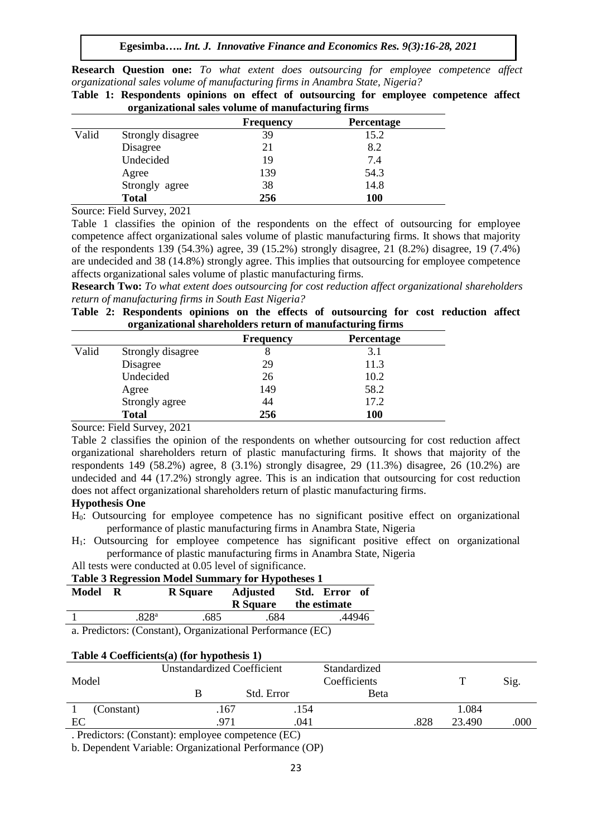**Research Question one:** *To what extent does outsourcing for employee competence affect organizational sales volume of manufacturing firms in Anambra State, Nigeria?* 

|                                                    |  | Table 1: Respondents opinions on effect of outsourcing for employee competence affect |  |  |  |  |  |  |  |  |
|----------------------------------------------------|--|---------------------------------------------------------------------------------------|--|--|--|--|--|--|--|--|
| organizational sales volume of manufacturing firms |  |                                                                                       |  |  |  |  |  |  |  |  |

|       |                   | <b>Frequency</b> | Percentage |  |
|-------|-------------------|------------------|------------|--|
| Valid | Strongly disagree | 39               | 15.2       |  |
|       | Disagree          | 21               | 8.2        |  |
|       | Undecided         | 19               | 7.4        |  |
|       | Agree             | 139              | 54.3       |  |
|       | Strongly agree    | 38               | 14.8       |  |
|       | <b>Total</b>      | 256              | 100        |  |

Source: Field Survey, 2021

Table 1 classifies the opinion of the respondents on the effect of outsourcing for employee competence affect organizational sales volume of plastic manufacturing firms. It shows that majority of the respondents 139 (54.3%) agree, 39 (15.2%) strongly disagree, 21 (8.2%) disagree, 19 (7.4%) are undecided and 38 (14.8%) strongly agree. This implies that outsourcing for employee competence affects organizational sales volume of plastic manufacturing firms.

**Research Two:** *To what extent does outsourcing for cost reduction affect organizational shareholders return of manufacturing firms in South East Nigeria?* 

**Table 2: Respondents opinions on the effects of outsourcing for cost reduction affect organizational shareholders return of manufacturing firms**

|       |                   | <b>Frequency</b> | Percentage |  |
|-------|-------------------|------------------|------------|--|
| Valid | Strongly disagree |                  | 3.1        |  |
|       | Disagree          | 29               | 11.3       |  |
|       | Undecided         | 26               | 10.2       |  |
|       | Agree             | 149              | 58.2       |  |
|       | Strongly agree    | 44               | 17.2       |  |
|       | <b>Total</b>      | 256              | 100        |  |

Source: Field Survey, 2021

**Table 4 Coefficients(a) (for hypothesis 1)**

Table 2 classifies the opinion of the respondents on whether outsourcing for cost reduction affect organizational shareholders return of plastic manufacturing firms. It shows that majority of the respondents 149 (58.2%) agree, 8 (3.1%) strongly disagree, 29 (11.3%) disagree, 26 (10.2%) are undecided and 44 (17.2%) strongly agree. This is an indication that outsourcing for cost reduction does not affect organizational shareholders return of plastic manufacturing firms.

## **Hypothesis One**

- H0: Outsourcing for employee competence has no significant positive effect on organizational performance of plastic manufacturing firms in Anambra State, Nigeria
- H1: Outsourcing for employee competence has significant positive effect on organizational performance of plastic manufacturing firms in Anambra State, Nigeria

All tests were conducted at 0.05 level of significance.

| <b>Table 3 Regression Model Summary for Hypotheses 1</b> |   |       |                 |                             |                            |        |  |  |
|----------------------------------------------------------|---|-------|-----------------|-----------------------------|----------------------------|--------|--|--|
| Model                                                    | ĸ |       | <b>R</b> Square | Adjusted<br><b>R</b> Square | Std. Error<br>the estimate | - of   |  |  |
|                                                          |   | .828ª | .685            | .684                        |                            | .44946 |  |  |
| . .<br>$-$                                               |   |       | $\sim$ $\sim$   |                             |                            |        |  |  |

a. Predictors: (Constant), Organizational Performance (EC)

|       | <b>Table 4 Coefficients(a) (for hypothesis 1)</b> |                                   |            |              |      |        |      |  |  |  |
|-------|---------------------------------------------------|-----------------------------------|------------|--------------|------|--------|------|--|--|--|
|       |                                                   | <b>Unstandardized Coefficient</b> |            | Standardized |      |        |      |  |  |  |
| Model |                                                   |                                   |            | Coefficients |      |        | Sig. |  |  |  |
|       |                                                   |                                   | Std. Error | <b>Beta</b>  |      |        |      |  |  |  |
|       | (Constant)                                        | .167                              | .154       |              |      | 1.084  |      |  |  |  |
| EC    |                                                   | .971                              | .041       |              | .828 | 23.490 | .000 |  |  |  |
|       |                                                   |                                   |            |              |      |        |      |  |  |  |

. Predictors: (Constant): employee competence (EC)

b. Dependent Variable: Organizational Performance (OP)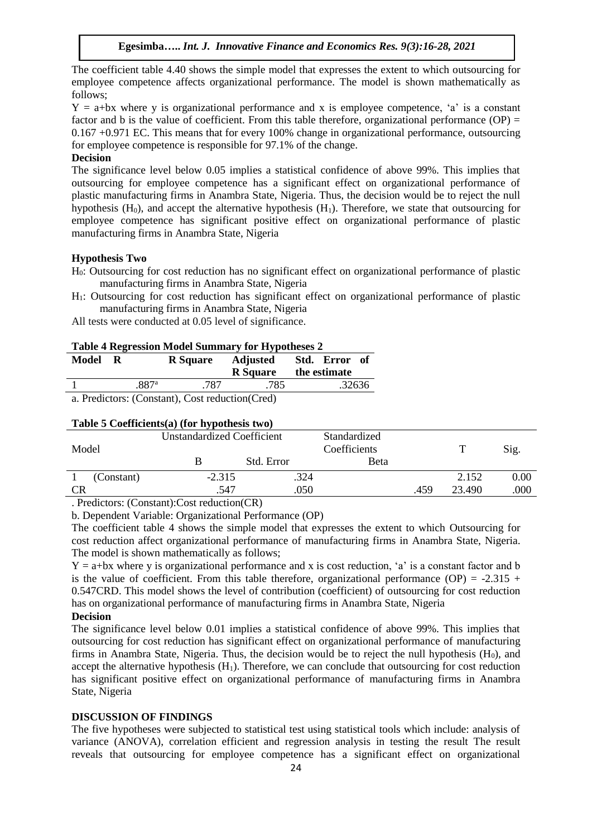The coefficient table 4.40 shows the simple model that expresses the extent to which outsourcing for employee competence affects organizational performance. The model is shown mathematically as follows;

 $Y = a + bx$  where y is organizational performance and x is employee competence, 'a' is a constant factor and b is the value of coefficient. From this table therefore, organizational performance (OP)  $=$ 0.167 +0.971 EC. This means that for every 100% change in organizational performance, outsourcing for employee competence is responsible for 97.1% of the change.

## **Decision**

The significance level below 0.05 implies a statistical confidence of above 99%. This implies that outsourcing for employee competence has a significant effect on organizational performance of plastic manufacturing firms in Anambra State, Nigeria. Thus, the decision would be to reject the null hypothesis  $(H_0)$ , and accept the alternative hypothesis  $(H_1)$ . Therefore, we state that outsourcing for employee competence has significant positive effect on organizational performance of plastic manufacturing firms in Anambra State, Nigeria

## **Hypothesis Two**

- H0: Outsourcing for cost reduction has no significant effect on organizational performance of plastic manufacturing firms in Anambra State, Nigeria
- H1: Outsourcing for cost reduction has significant effect on organizational performance of plastic manufacturing firms in Anambra State, Nigeria

All tests were conducted at 0.05 level of significance.

| <b>Table 4 Regression Model Summary for Hypotheses 2</b> |  |  |
|----------------------------------------------------------|--|--|
|                                                          |  |  |

| Model | R                | <b>R</b> Square                                          | Adjusted        | Std. Error of |
|-------|------------------|----------------------------------------------------------|-----------------|---------------|
|       |                  |                                                          | <b>R</b> Square | the estimate  |
|       | 887 <sup>a</sup> | .787                                                     | .785            | .32636        |
|       |                  | <sup>o</sup> Prodictors: (Constant) Cost reduction(Crod) |                 |               |

a. Predictors: (Constant), Cost reduction(Cred)

## **Table 5 Coefficients(a) (for hypothesis two)**

|                           | $\sim$ $\sim$<br>. .              |            |                              |      |        |      |
|---------------------------|-----------------------------------|------------|------------------------------|------|--------|------|
| Model                     | <b>Unstandardized Coefficient</b> |            | Standardized<br>Coefficients |      | ᡣ      | Sig. |
|                           |                                   | Std. Error | Beta                         |      |        |      |
| (Constant)                | $-2.315$                          | .324       |                              |      | 2.152  | 0.00 |
| <b>CR</b>                 | .547                              | .050       |                              | .459 | 23.490 | .000 |
| $\mathbf{r}$ $\mathbf{r}$ | (0, 0, 0, 0, 1, 0, 0)             |            |                              |      |        |      |

. Predictors: (Constant):Cost reduction(CR)

b. Dependent Variable: Organizational Performance (OP)

The coefficient table 4 shows the simple model that expresses the extent to which Outsourcing for cost reduction affect organizational performance of manufacturing firms in Anambra State, Nigeria. The model is shown mathematically as follows;

 $Y = a + bx$  where y is organizational performance and x is cost reduction, 'a' is a constant factor and b is the value of coefficient. From this table therefore, organizational performance (OP) =  $-2.315 +$ 0.547CRD. This model shows the level of contribution (coefficient) of outsourcing for cost reduction has on organizational performance of manufacturing firms in Anambra State, Nigeria

#### **Decision**

The significance level below 0.01 implies a statistical confidence of above 99%. This implies that outsourcing for cost reduction has significant effect on organizational performance of manufacturing firms in Anambra State, Nigeria. Thus, the decision would be to reject the null hypothesis  $(H_0)$ , and accept the alternative hypothesis  $(H_1)$ . Therefore, we can conclude that outsourcing for cost reduction has significant positive effect on organizational performance of manufacturing firms in Anambra State, Nigeria

## **DISCUSSION OF FINDINGS**

The five hypotheses were subjected to statistical test using statistical tools which include: analysis of variance (ANOVA), correlation efficient and regression analysis in testing the result The result reveals that outsourcing for employee competence has a significant effect on organizational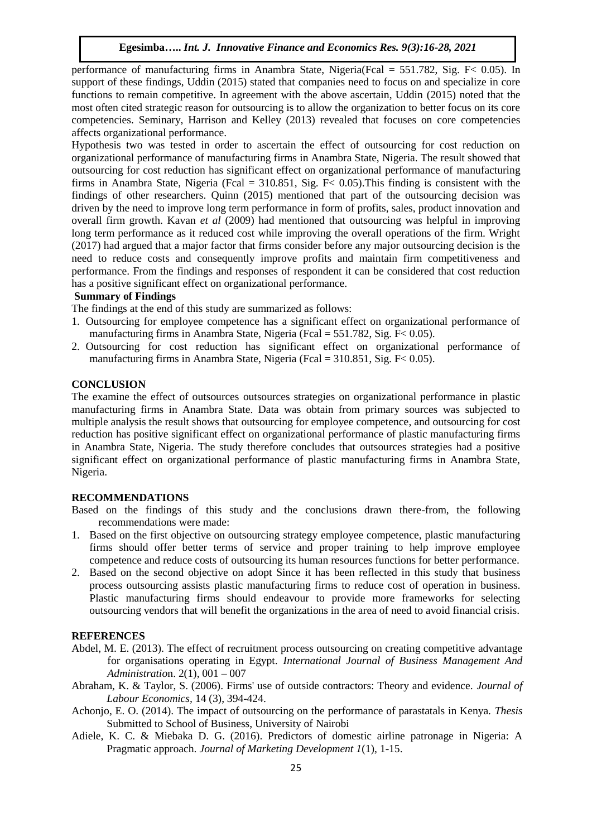performance of manufacturing firms in Anambra State, Nigeria(Fcal = 551.782, Sig. F< 0.05). In support of these findings, Uddin (2015) stated that companies need to focus on and specialize in core functions to remain competitive. In agreement with the above ascertain, Uddin (2015) noted that the most often cited strategic reason for outsourcing is to allow the organization to better focus on its core competencies. Seminary, Harrison and Kelley (2013) revealed that focuses on core competencies affects organizational performance.

Hypothesis two was tested in order to ascertain the effect of outsourcing for cost reduction on organizational performance of manufacturing firms in Anambra State, Nigeria. The result showed that outsourcing for cost reduction has significant effect on organizational performance of manufacturing firms in Anambra State, Nigeria (Fcal =  $310.851$ , Sig. F < 0.05). This finding is consistent with the findings of other researchers. Quinn (2015) mentioned that part of the outsourcing decision was driven by the need to improve long term performance in form of profits, sales, product innovation and overall firm growth. Kavan *et al* (2009) had mentioned that outsourcing was helpful in improving long term performance as it reduced cost while improving the overall operations of the firm. Wright (2017) had argued that a major factor that firms consider before any major outsourcing decision is the need to reduce costs and consequently improve profits and maintain firm competitiveness and performance. From the findings and responses of respondent it can be considered that cost reduction has a positive significant effect on organizational performance.

## **Summary of Findings**

The findings at the end of this study are summarized as follows:

- 1. Outsourcing for employee competence has a significant effect on organizational performance of manufacturing firms in Anambra State, Nigeria (Fcal = 551.782, Sig.  $F < 0.05$ ).
- 2. Outsourcing for cost reduction has significant effect on organizational performance of manufacturing firms in Anambra State, Nigeria (Fcal = 310.851, Sig. F< 0.05).

#### **CONCLUSION**

The examine the effect of outsources outsources strategies on organizational performance in plastic manufacturing firms in Anambra State. Data was obtain from primary sources was subjected to multiple analysis the result shows that outsourcing for employee competence, and outsourcing for cost reduction has positive significant effect on organizational performance of plastic manufacturing firms in Anambra State, Nigeria. The study therefore concludes that outsources strategies had a positive significant effect on organizational performance of plastic manufacturing firms in Anambra State, Nigeria.

## **RECOMMENDATIONS**

Based on the findings of this study and the conclusions drawn there-from, the following recommendations were made:

- 1. Based on the first objective on outsourcing strategy employee competence, plastic manufacturing firms should offer better terms of service and proper training to help improve employee competence and reduce costs of outsourcing its human resources functions for better performance.
- 2. Based on the second objective on adopt Since it has been reflected in this study that business process outsourcing assists plastic manufacturing firms to reduce cost of operation in business. Plastic manufacturing firms should endeavour to provide more frameworks for selecting outsourcing vendors that will benefit the organizations in the area of need to avoid financial crisis.

## **REFERENCES**

- Abdel, M. E. (2013). The effect of recruitment process outsourcing on creating competitive advantage for organisations operating in Egypt. *International Journal of Business Management And Administratio*n. 2(1), 001 – 007
- Abraham, K. & Taylor, S. (2006). Firms' use of outside contractors: Theory and evidence. *Journal of Labour Economics,* 14 (3), 394-424.
- Achonjo, E. O. (2014). The impact of outsourcing on the performance of parastatals in Kenya. *Thesis* Submitted to School of Business, University of Nairobi
- Adiele, K. C. & Miebaka D. G. (2016). Predictors of domestic airline patronage in Nigeria: A Pragmatic approach. *Journal of Marketing Development 1*(1), 1-15.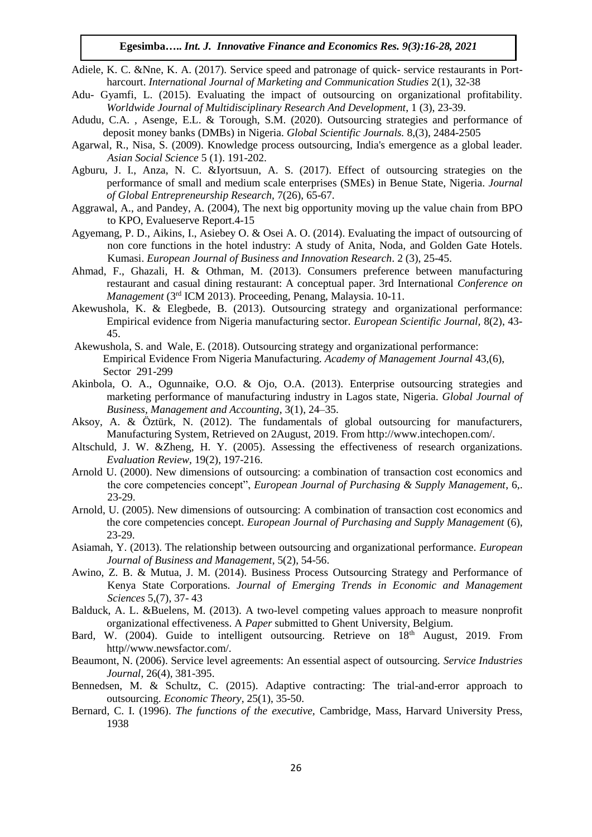- Adiele, K. C. &Nne, K. A. (2017). Service speed and patronage of quick- service restaurants in Portharcourt. *International Journal of Marketing and Communication Studies* 2(1), 32-38
- Adu- Gyamfi, L. (2015). Evaluating the impact of outsourcing on organizational profitability. *Worldwide Journal of Multidisciplinary Research And Development*, 1 (3), 23-39.
- Adudu, C.A. , Asenge, E.L. & Torough, S.M. (2020). Outsourcing strategies and performance of deposit money banks (DMBs) in Nigeria. *Global Scientific Journals.* 8,(3), 2484-2505
- Agarwal, R., Nisa, S. (2009). Knowledge process outsourcing, India's emergence as a global leader. *Asian Social Science* 5 (1). 191-202.
- Agburu, J. I., Anza, N. C. &Iyortsuun, A. S. (2017). Effect of outsourcing strategies on the performance of small and medium scale enterprises (SMEs) in Benue State, Nigeria. *Journal of Global Entrepreneurship Research,* 7(26), 65-67.
- Aggrawal, A., and Pandey, A. (2004), The next big opportunity moving up the value chain from BPO to KPO, Evalueserve Report.4-15
- Agyemang, P. D., Aikins, I., Asiebey O. & Osei A. O. (2014). Evaluating the impact of outsourcing of non core functions in the hotel industry: A study of Anita, Noda, and Golden Gate Hotels. Kumasi. *European Journal of Business and Innovation Research*. 2 (3), 25-45.
- Ahmad, F., Ghazali, H. & Othman, M. (2013). Consumers preference between manufacturing restaurant and casual dining restaurant: A conceptual paper. 3rd International *Conference on Management* (3rd ICM 2013). Proceeding, Penang, Malaysia. 10-11.
- Akewushola, K. & Elegbede, B. (2013). Outsourcing strategy and organizational performance: Empirical evidence from Nigeria manufacturing sector. *European Scientific Journal,* 8(2), 43- 45.
- Akewushola, S. and Wale, E. (2018). Outsourcing strategy and organizational performance: Empirical Evidence From Nigeria Manufacturing. *Academy of Management Journal* 43,(6), Sector 291-299
- Akinbola, O. A., Ogunnaike, O.O. & Ojo, O.A. (2013). Enterprise outsourcing strategies and marketing performance of manufacturing industry in Lagos state, Nigeria. *Global Journal of Business, Management and Accounting*, 3(1), 24–35.
- Aksoy, A. & Öztürk, N. (2012). The fundamentals of global outsourcing for manufacturers, Manufacturing System, Retrieved on 2August, 2019. From http://www.intechopen.com/.
- Altschuld, J. W. &Zheng, H. Y. (2005). Assessing the effectiveness of research organizations. *Evaluation Review,* 19(2), 197-216.
- Arnold U. (2000). New dimensions of outsourcing: a combination of transaction cost economics and the core competencies concept", *European Journal of Purchasing & Supply Management*, 6,. 23-29.
- Arnold, U. (2005). New dimensions of outsourcing: A combination of transaction cost economics and the core competencies concept. *European Journal of Purchasing and Supply Management* (6), 23-29.
- Asiamah, Y. (2013). The relationship between outsourcing and organizational performance. *European Journal of Business and Management*, 5(2), 54-56.
- Awino, Z. B. & Mutua, J. M. (2014). Business Process Outsourcing Strategy and Performance of Kenya State Corporations. *Journal of Emerging Trends in Economic and Management Sciences* 5,(7), 37- 43
- Balduck, A. L. &Buelens, M. (2013). A two-level competing values approach to measure nonprofit organizational effectiveness. A *Paper* submitted to Ghent University, Belgium.
- Bard, W. (2004). Guide to intelligent outsourcing. Retrieve on 18<sup>th</sup> August, 2019. From http//www.newsfactor.com/.
- Beaumont, N. (2006). Service level agreements: An essential aspect of outsourcing. *Service Industries Journal*, 26(4), 381-395.
- Bennedsen, M. & Schultz, C. (2015). Adaptive contracting: The trial-and-error approach to outsourcing. *Economic Theory*, 25(1), 35-50.
- Bernard, C. I. (1996). *The functions of the executive,* Cambridge, Mass, Harvard University Press, 1938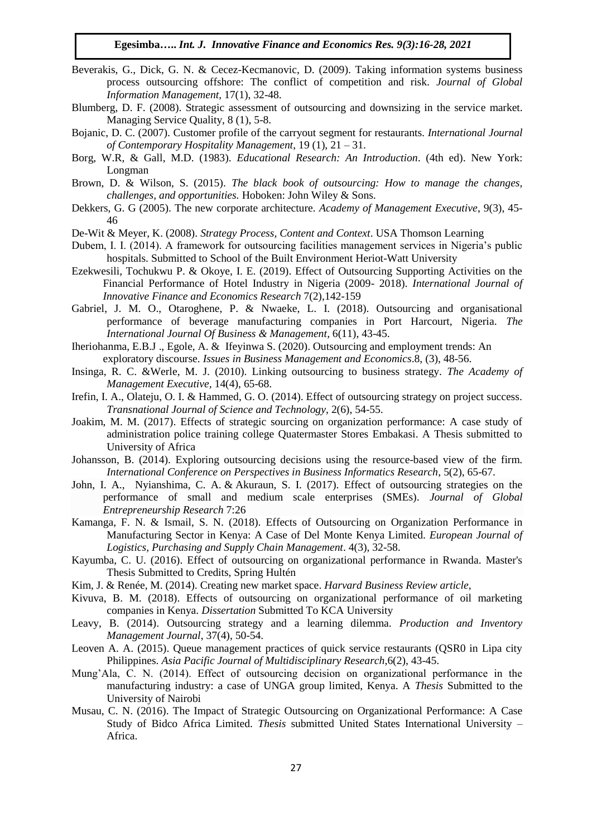- Beverakis, G., Dick, G. N. & Cecez-Kecmanovic, D. (2009). Taking information systems business process outsourcing offshore: The conflict of competition and risk. *Journal of Global Information Management*, 17(1), 32-48.
- Blumberg, D. F. (2008). Strategic assessment of outsourcing and downsizing in the service market. Managing Service Quality, 8 (1), 5-8.
- Bojanic, D. C. (2007). Customer profile of the carryout segment for restaurants. *International Journal of Contemporary Hospitality Management*, 19 (1), 21 – 31.
- Borg, W.R, & Gall, M.D. (1983). *Educational Research: An Introduction*. (4th ed). New York: Longman
- Brown, D. & Wilson, S. (2015). *The black book of outsourcing: How to manage the changes, challenges, and opportunities.* Hoboken: John Wiley & Sons.
- Dekkers, G. G (2005). The new corporate architecture. *Academy of Management Executive*, 9(3), 45- 46

De-Wit & Meyer, K. (2008). *Strategy Process, Content and Context*. USA Thomson Learning

- Dubem, I. I. (2014). A framework for outsourcing facilities management services in Nigeria's public hospitals. Submitted to School of the Built Environment Heriot-Watt University
- Ezekwesili, Tochukwu P. & Okoye, I. E. (2019). Effect of Outsourcing Supporting Activities on the Financial Performance of Hotel Industry in Nigeria (2009- 2018). *International Journal of Innovative Finance and Economics Research* 7(2),142-159
- Gabriel, J. M. O., Otaroghene, P. & Nwaeke, L. I. (2018). Outsourcing and organisational performance of beverage manufacturing companies in Port Harcourt, Nigeria. *The International Journal Of Business & Management,* 6(11), 43-45.
- Iheriohanma, E.B.J ., Egole, A. & Ifeyinwa S. (2020). Outsourcing and employment trends: An exploratory discourse. *Issues in Business Management and Economics*.8, (3), 48-56.
- Insinga, R. C. &Werle, M. J. (2010). Linking outsourcing to business strategy. *The Academy of Management Executive,* 14(4), 65-68.
- Irefin, I. A., Olateju, O. I. & Hammed, G. O. (2014). Effect of outsourcing strategy on project success. *Transnational Journal of Science and Technology*, 2(6), 54-55.
- Joakim, M. M. (2017). Effects of strategic sourcing on organization performance: A case study of administration police training college Quatermaster Stores Embakasi. A Thesis submitted to University of Africa
- Johansson, B. (2014). Exploring outsourcing decisions using the resource-based view of the firm. *International Conference on Perspectives in Business Informatics Research*, 5(2), 65-67.
- John, I. A., Nyianshima, C. A. & Akuraun, S. I. (2017). Effect of outsourcing strategies on the performance of small and medium scale enterprises (SMEs). *[Journal of Global](https://link.springer.com/journal/40497)  [Entrepreneurship Research](https://link.springer.com/journal/40497)* 7:26
- Kamanga, F. N. & Ismail, S. N. (2018). Effects of Outsourcing on Organization Performance in Manufacturing Sector in Kenya: A Case of Del Monte Kenya Limited. *European Journal of Logistics, Purchasing and Supply Chain Management*. 4(3), 32-58.
- Kayumba, C. U. (2016). Effect of outsourcing on organizational performance in Rwanda. Master's Thesis Submitted to Credits, Spring Hultén
- Kim, J. & Renée, M. (2014). Creating new market space. *Harvard Business Review article*,
- Kivuva, B. M. (2018). Effects of outsourcing on organizational performance of oil marketing companies in Kenya. *Dissertation* Submitted To KCA University
- Leavy, B. (2014). Outsourcing strategy and a learning dilemma. *Production and Inventory Management Journal*, 37(4), 50-54.
- Leoven A. A. (2015). Queue management practices of quick service restaurants (QSR0 in Lipa city Philippines. *Asia Pacific Journal of Multidisciplinary Research*,6(2), 43-45.
- Mung'Ala, C. N. (2014). Effect of outsourcing decision on organizational performance in the manufacturing industry: a case of UNGA group limited, Kenya. A *Thesis* Submitted to the University of Nairobi
- Musau, C. N. (2016). The Impact of Strategic Outsourcing on Organizational Performance: A Case Study of Bidco Africa Limited. *Thesis* submitted United States International University – Africa.